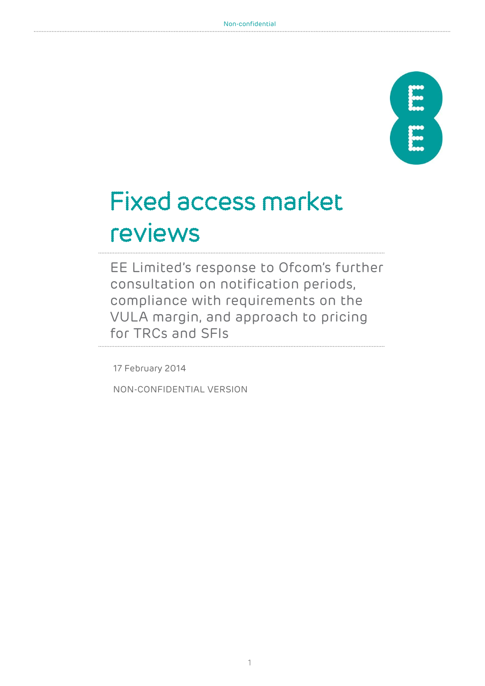

# Fixed access market reviews

EE Limited's response to Ofcom's further consultation on notification periods, compliance with requirements on the VULA margin, and approach to pricing for TRCs and SFIs

17 February 2014

NON-CONFIDENTIAL VERSION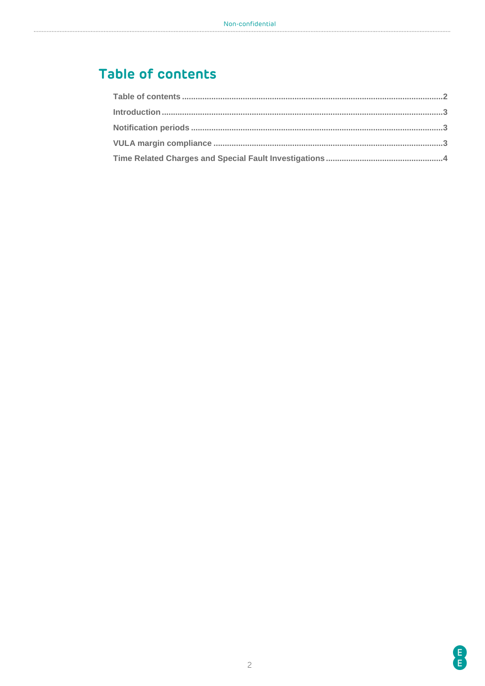# <span id="page-1-0"></span>Table of contents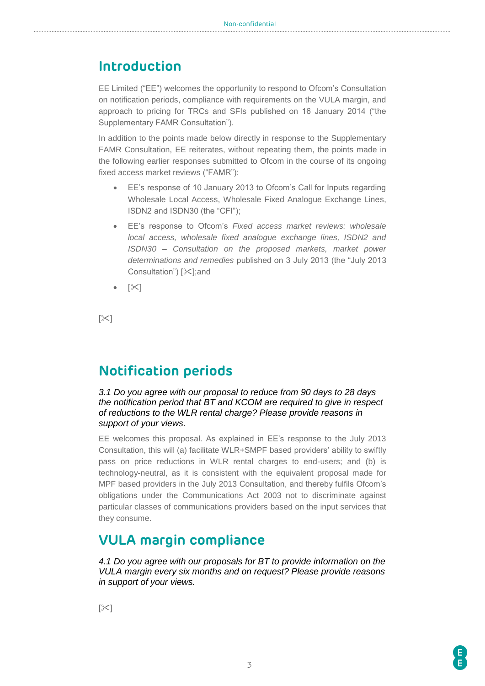#### <span id="page-2-0"></span>**Introduction**

EE Limited ("EE") welcomes the opportunity to respond to Ofcom's Consultation on notification periods, compliance with requirements on the VULA margin, and approach to pricing for TRCs and SFIs published on 16 January 2014 ("the Supplementary FAMR Consultation").

In addition to the points made below directly in response to the Supplementary FAMR Consultation, EE reiterates, without repeating them, the points made in the following earlier responses submitted to Ofcom in the course of its ongoing fixed access market reviews ("FAMR"):

- EE's response of 10 January 2013 to Ofcom's Call for Inputs regarding Wholesale Local Access, Wholesale Fixed Analogue Exchange Lines, ISDN2 and ISDN30 (the "CFI");
- EE's response to Ofcom's *Fixed access market reviews: wholesale local access, wholesale fixed analogue exchange lines, ISDN2 and ISDN30 – Consultation on the proposed markets, market power determinations and remedies* published on 3 July 2013 (the "July 2013 Consultation")  $[\times]$ ; and
- [X]

 $[\times]$ 

## <span id="page-2-1"></span>**Notification periods**

*3.1 Do you agree with our proposal to reduce from 90 days to 28 days the notification period that BT and KCOM are required to give in respect of reductions to the WLR rental charge? Please provide reasons in support of your views.* 

EE welcomes this proposal. As explained in EE's response to the July 2013 Consultation, this will (a) facilitate WLR+SMPF based providers' ability to swiftly pass on price reductions in WLR rental charges to end-users; and (b) is technology-neutral, as it is consistent with the equivalent proposal made for MPF based providers in the July 2013 Consultation, and thereby fulfils Ofcom's obligations under the Communications Act 2003 not to discriminate against particular classes of communications providers based on the input services that they consume.

## <span id="page-2-2"></span>**VULA margin compliance**

*4.1 Do you agree with our proposals for BT to provide information on the VULA margin every six months and on request? Please provide reasons in support of your views.*